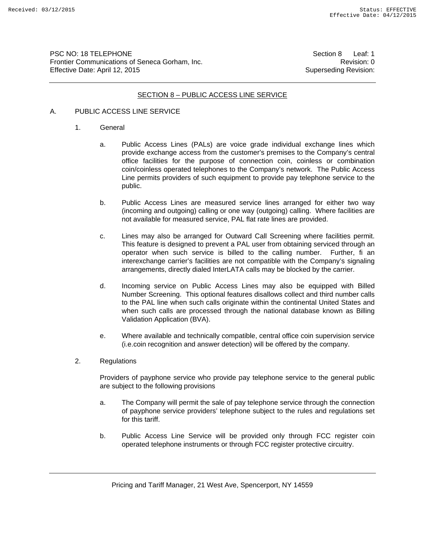PSC NO: 18 TELEPHONE Section 8 Leaf: 1 Frontier Communications of Seneca Gorham, Inc. **Revision: 0** Revision: 0 Effective Date: April 12, 2015 Superseding Revision:

### SECTION 8 – PUBLIC ACCESS LINE SERVICE

# A. PUBLIC ACCESS LINE SERVICE

- 1. General
	- a. Public Access Lines (PALs) are voice grade individual exchange lines which provide exchange access from the customer's premises to the Company's central office facilities for the purpose of connection coin, coinless or combination coin/coinless operated telephones to the Company's network. The Public Access Line permits providers of such equipment to provide pay telephone service to the public.
	- b. Public Access Lines are measured service lines arranged for either two way (incoming and outgoing) calling or one way (outgoing) calling. Where facilities are not available for measured service, PAL flat rate lines are provided.
	- c. Lines may also be arranged for Outward Call Screening where facilities permit. This feature is designed to prevent a PAL user from obtaining serviced through an operator when such service is billed to the calling number. Further, fi an interexchange carrier's facilities are not compatible with the Company's signaling arrangements, directly dialed InterLATA calls may be blocked by the carrier.
	- d. Incoming service on Public Access Lines may also be equipped with Billed Number Screening. This optional features disallows collect and third number calls to the PAL line when such calls originate within the continental United States and when such calls are processed through the national database known as Billing Validation Application (BVA).
	- e. Where available and technically compatible, central office coin supervision service (i.e.coin recognition and answer detection) will be offered by the company.
- 2. Regulations

Providers of payphone service who provide pay telephone service to the general public are subject to the following provisions

- a. The Company will permit the sale of pay telephone service through the connection of payphone service providers' telephone subject to the rules and regulations set for this tariff.
- b. Public Access Line Service will be provided only through FCC register coin operated telephone instruments or through FCC register protective circuitry.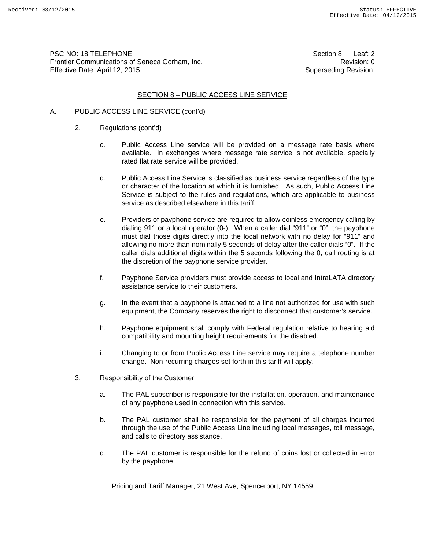PSC NO: 18 TELEPHONE Section 8 Leaf: 2 Frontier Communications of Seneca Gorham, Inc. **Revision: 0** Revision: 0 Effective Date: April 12, 2015 Superseding Revision:

#### SECTION 8 – PUBLIC ACCESS LINE SERVICE

- A. PUBLIC ACCESS LINE SERVICE (cont'd)
	- 2. Regulations (cont'd)
		- c. Public Access Line service will be provided on a message rate basis where available. In exchanges where message rate service is not available, specially rated flat rate service will be provided.
		- d. Public Access Line Service is classified as business service regardless of the type or character of the location at which it is furnished. As such, Public Access Line Service is subject to the rules and regulations, which are applicable to business service as described elsewhere in this tariff.
		- e. Providers of payphone service are required to allow coinless emergency calling by dialing 911 or a local operator (0-). When a caller dial "911" or "0", the payphone must dial those digits directly into the local network with no delay for "911" and allowing no more than nominally 5 seconds of delay after the caller dials "0". If the caller dials additional digits within the 5 seconds following the 0, call routing is at the discretion of the payphone service provider.
		- f. Payphone Service providers must provide access to local and IntraLATA directory assistance service to their customers.
		- g. In the event that a payphone is attached to a line not authorized for use with such equipment, the Company reserves the right to disconnect that customer's service.
		- h. Payphone equipment shall comply with Federal regulation relative to hearing aid compatibility and mounting height requirements for the disabled.
		- i. Changing to or from Public Access Line service may require a telephone number change. Non-recurring charges set forth in this tariff will apply.
	- 3. Responsibility of the Customer
		- a. The PAL subscriber is responsible for the installation, operation, and maintenance of any payphone used in connection with this service.
		- b. The PAL customer shall be responsible for the payment of all charges incurred through the use of the Public Access Line including local messages, toll message, and calls to directory assistance.
		- c. The PAL customer is responsible for the refund of coins lost or collected in error by the payphone.